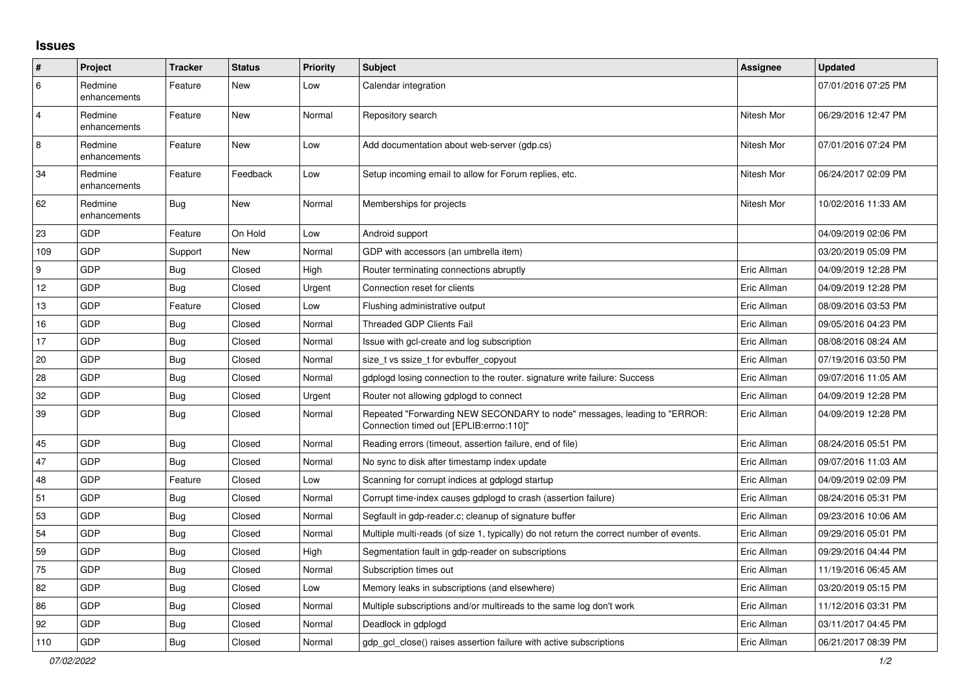## **Issues**

| #                | Project                 | <b>Tracker</b> | <b>Status</b> | <b>Priority</b> | <b>Subject</b>                                                                                                      | Assignee    | <b>Updated</b>      |
|------------------|-------------------------|----------------|---------------|-----------------|---------------------------------------------------------------------------------------------------------------------|-------------|---------------------|
| 6                | Redmine<br>enhancements | Feature        | New           | Low             | Calendar integration                                                                                                |             | 07/01/2016 07:25 PM |
| $\overline{4}$   | Redmine<br>enhancements | Feature        | <b>New</b>    | Normal          | Repository search                                                                                                   | Nitesh Mor  | 06/29/2016 12:47 PM |
| $\,8\,$          | Redmine<br>enhancements | Feature        | <b>New</b>    | Low             | Add documentation about web-server (gdp.cs)                                                                         | Nitesh Mor  | 07/01/2016 07:24 PM |
| 34               | Redmine<br>enhancements | Feature        | Feedback      | Low             | Setup incoming email to allow for Forum replies, etc.                                                               | Nitesh Mor  | 06/24/2017 02:09 PM |
| 62               | Redmine<br>enhancements | <b>Bug</b>     | <b>New</b>    | Normal          | Memberships for projects                                                                                            | Nitesh Mor  | 10/02/2016 11:33 AM |
| 23               | GDP                     | Feature        | On Hold       | Low             | Android support                                                                                                     |             | 04/09/2019 02:06 PM |
| 109              | GDP                     | Support        | <b>New</b>    | Normal          | GDP with accessors (an umbrella item)                                                                               |             | 03/20/2019 05:09 PM |
| $\boldsymbol{9}$ | GDP                     | <b>Bug</b>     | Closed        | High            | Router terminating connections abruptly                                                                             | Eric Allman | 04/09/2019 12:28 PM |
| 12               | GDP                     | Bug            | Closed        | Urgent          | Connection reset for clients                                                                                        | Eric Allman | 04/09/2019 12:28 PM |
| 13               | GDP                     | Feature        | Closed        | Low             | Flushing administrative output                                                                                      | Eric Allman | 08/09/2016 03:53 PM |
| 16               | GDP                     | Bug            | Closed        | Normal          | <b>Threaded GDP Clients Fail</b>                                                                                    | Eric Allman | 09/05/2016 04:23 PM |
| 17               | GDP                     | <b>Bug</b>     | Closed        | Normal          | Issue with gcl-create and log subscription                                                                          | Eric Allman | 08/08/2016 08:24 AM |
| 20               | GDP                     | Bug            | Closed        | Normal          | size tvs ssize t for evbuffer copyout                                                                               | Eric Allman | 07/19/2016 03:50 PM |
| 28               | GDP                     | <b>Bug</b>     | Closed        | Normal          | gdplogd losing connection to the router, signature write failure: Success                                           | Eric Allman | 09/07/2016 11:05 AM |
| 32               | GDP                     | <b>Bug</b>     | Closed        | Urgent          | Router not allowing gdplogd to connect                                                                              | Eric Allman | 04/09/2019 12:28 PM |
| 39               | GDP                     | <b>Bug</b>     | Closed        | Normal          | Repeated "Forwarding NEW SECONDARY to node" messages, leading to "ERROR:<br>Connection timed out [EPLIB:errno:110]" | Eric Allman | 04/09/2019 12:28 PM |
| 45               | GDP                     | <b>Bug</b>     | Closed        | Normal          | Reading errors (timeout, assertion failure, end of file)                                                            | Eric Allman | 08/24/2016 05:51 PM |
| 47               | GDP                     | <b>Bug</b>     | Closed        | Normal          | No sync to disk after timestamp index update                                                                        | Eric Allman | 09/07/2016 11:03 AM |
| 48               | <b>GDP</b>              | Feature        | Closed        | Low             | Scanning for corrupt indices at gdplogd startup                                                                     | Eric Allman | 04/09/2019 02:09 PM |
| 51               | GDP                     | <b>Bug</b>     | Closed        | Normal          | Corrupt time-index causes gdplogd to crash (assertion failure)                                                      | Eric Allman | 08/24/2016 05:31 PM |
| 53               | GDP                     | <b>Bug</b>     | Closed        | Normal          | Segfault in gdp-reader.c; cleanup of signature buffer                                                               | Eric Allman | 09/23/2016 10:06 AM |
| 54               | GDP                     | Bug            | Closed        | Normal          | Multiple multi-reads (of size 1, typically) do not return the correct number of events.                             | Eric Allman | 09/29/2016 05:01 PM |
| 59               | GDP                     | <b>Bug</b>     | Closed        | High            | Segmentation fault in gdp-reader on subscriptions                                                                   | Eric Allman | 09/29/2016 04:44 PM |
| 75               | GDP                     | <b>Bug</b>     | Closed        | Normal          | Subscription times out                                                                                              | Eric Allman | 11/19/2016 06:45 AM |
| 82               | GDP                     | Bug            | Closed        | Low             | Memory leaks in subscriptions (and elsewhere)                                                                       | Eric Allman | 03/20/2019 05:15 PM |
| 86               | GDP                     | <b>Bug</b>     | Closed        | Normal          | Multiple subscriptions and/or multireads to the same log don't work                                                 | Eric Allman | 11/12/2016 03:31 PM |
| 92               | GDP                     | Bug            | Closed        | Normal          | Deadlock in gdplogd                                                                                                 | Eric Allman | 03/11/2017 04:45 PM |
| 110              | GDP                     | Bug            | Closed        | Normal          | gdp gcl close() raises assertion failure with active subscriptions                                                  | Eric Allman | 06/21/2017 08:39 PM |